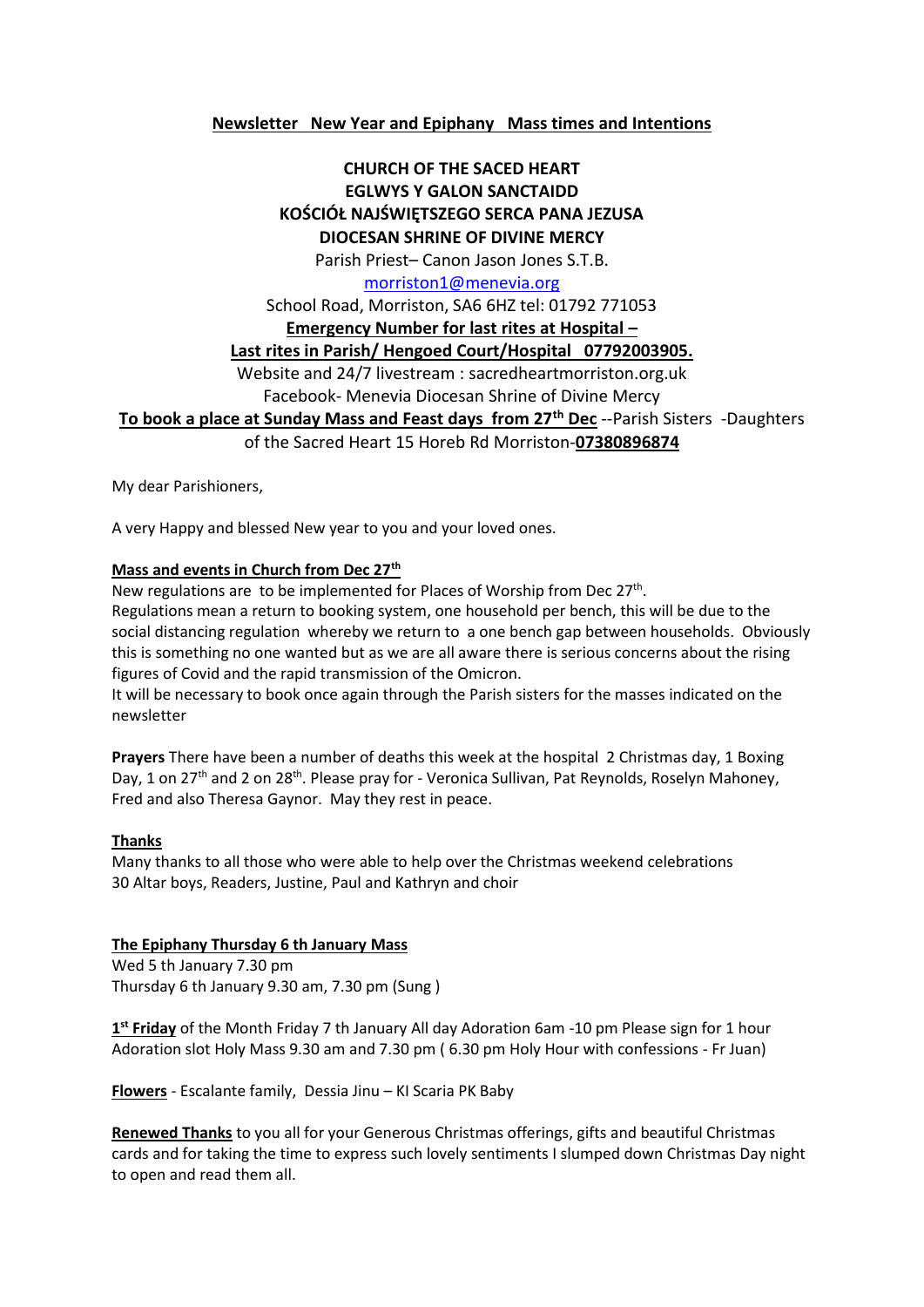### **Newsletter New Year and Epiphany Mass times and Intentions**

## **CHURCH OF THE SACED HEART EGLWYS Y GALON SANCTAIDD KOŚCIÓŁ NAJŚWIĘTSZEGO SERCA PANA JEZUSA DIOCESAN SHRINE OF DIVINE MERCY**

Parish Priest– Canon Jason Jones S.T.B.

#### [morriston1@menevia.org](mailto:morriston1@menevia.org)

School Road, Morriston, SA6 6HZ tel: 01792 771053

#### **Emergency Number for last rites at Hospital –**

**Last rites in Parish/ Hengoed Court/Hospital 07792003905.** 

Website and 24/7 livestream : sacredheartmorriston.org.uk

Facebook- Menevia Diocesan Shrine of Divine Mercy

**To book a place at Sunday Mass and Feast days from 27th Dec** --Parish Sisters -Daughters

of the Sacred Heart 15 Horeb Rd Morriston-**07380896874**

My dear Parishioners,

A very Happy and blessed New year to you and your loved ones.

#### **Mass and events in Church from Dec 27th**

New regulations are to be implemented for Places of Worship from Dec 27<sup>th</sup>.

Regulations mean a return to booking system, one household per bench, this will be due to the social distancing regulation whereby we return to a one bench gap between households. Obviously this is something no one wanted but as we are all aware there is serious concerns about the rising figures of Covid and the rapid transmission of the Omicron.

It will be necessary to book once again through the Parish sisters for the masses indicated on the newsletter

**Prayers** There have been a number of deaths this week at the hospital 2 Christmas day, 1 Boxing Day, 1 on 27<sup>th</sup> and 2 on 28<sup>th</sup>. Please pray for - Veronica Sullivan, Pat Reynolds, Roselyn Mahoney, Fred and also Theresa Gaynor. May they rest in peace.

#### **Thanks**

Many thanks to all those who were able to help over the Christmas weekend celebrations 30 Altar boys, Readers, Justine, Paul and Kathryn and choir

### **The Epiphany Thursday 6 th January Mass**

Wed 5 th January 7.30 pm Thursday 6 th January 9.30 am, 7.30 pm (Sung )

**1 st Friday** of the Month Friday 7 th January All day Adoration 6am -10 pm Please sign for 1 hour Adoration slot Holy Mass 9.30 am and 7.30 pm ( 6.30 pm Holy Hour with confessions - Fr Juan)

**Flowers** - Escalante family, Dessia Jinu – KI Scaria PK Baby

**Renewed Thanks** to you all for your Generous Christmas offerings, gifts and beautiful Christmas cards and for taking the time to express such lovely sentiments I slumped down Christmas Day night to open and read them all.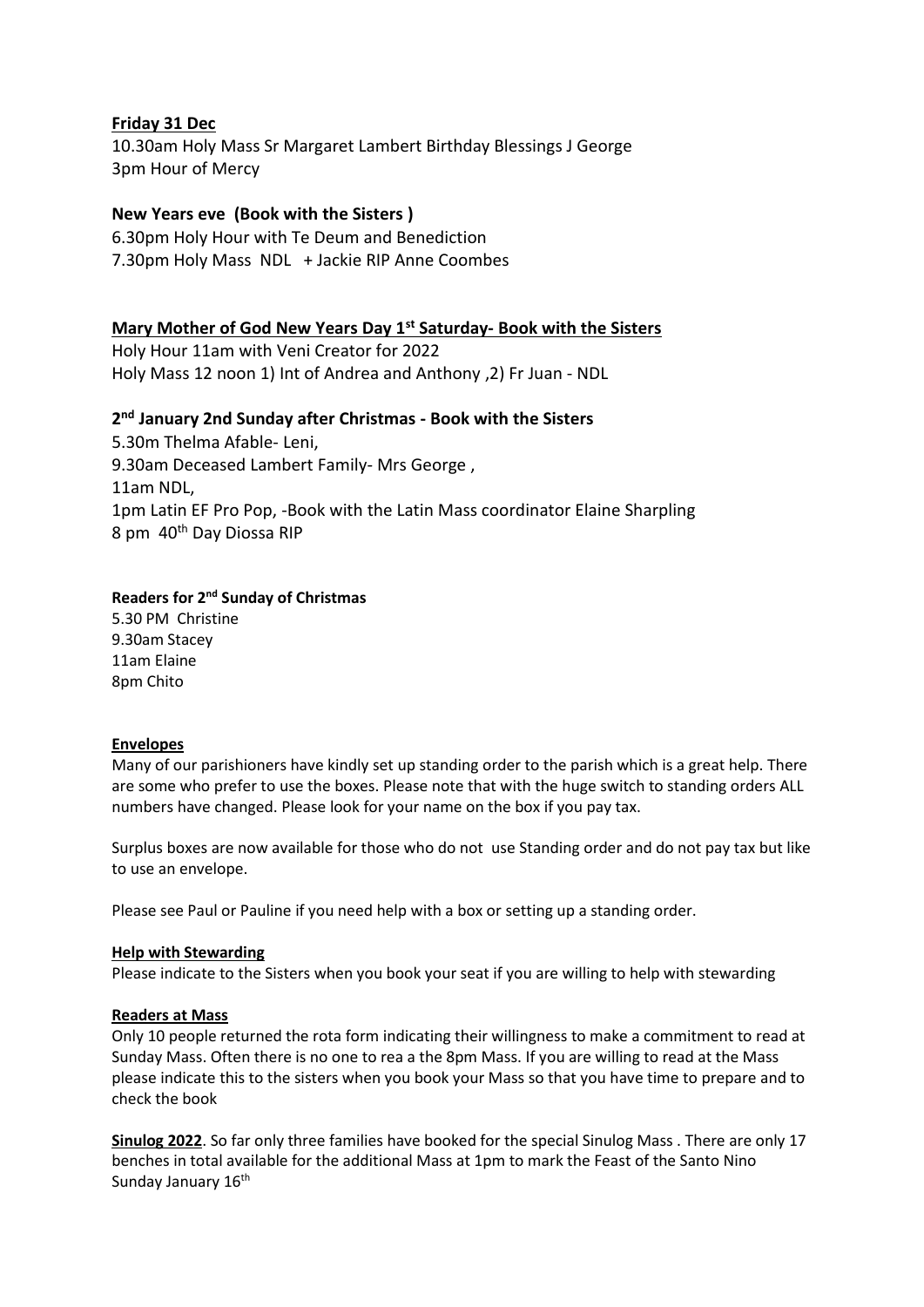## **Friday 31 Dec**

10.30am Holy Mass Sr Margaret Lambert Birthday Blessings J George 3pm Hour of Mercy

## **New Years eve (Book with the Sisters )**

6.30pm Holy Hour with Te Deum and Benediction 7.30pm Holy Mass NDL + Jackie RIP Anne Coombes

### **Mary Mother of God New Years Day 1st Saturday- Book with the Sisters**

Holy Hour 11am with Veni Creator for 2022 Holy Mass 12 noon 1) Int of Andrea and Anthony ,2) Fr Juan - NDL

## **2 nd January 2nd Sunday after Christmas - Book with the Sisters**

5.30m Thelma Afable- Leni, 9.30am Deceased Lambert Family- Mrs George , 11am NDL, 1pm Latin EF Pro Pop, -Book with the Latin Mass coordinator Elaine Sharpling 8 pm 40<sup>th</sup> Day Diossa RIP

## Readers for 2<sup>nd</sup> Sunday of Christmas

5.30 PM Christine 9.30am Stacey 11am Elaine 8pm Chito

### **Envelopes**

Many of our parishioners have kindly set up standing order to the parish which is a great help. There are some who prefer to use the boxes. Please note that with the huge switch to standing orders ALL numbers have changed. Please look for your name on the box if you pay tax.

Surplus boxes are now available for those who do not use Standing order and do not pay tax but like to use an envelope.

Please see Paul or Pauline if you need help with a box or setting up a standing order.

#### **Help with Stewarding**

Please indicate to the Sisters when you book your seat if you are willing to help with stewarding

### **Readers at Mass**

Only 10 people returned the rota form indicating their willingness to make a commitment to read at Sunday Mass. Often there is no one to rea a the 8pm Mass. If you are willing to read at the Mass please indicate this to the sisters when you book your Mass so that you have time to prepare and to check the book

**Sinulog 2022**. So far only three families have booked for the special Sinulog Mass . There are only 17 benches in total available for the additional Mass at 1pm to mark the Feast of the Santo Nino Sunday January 16<sup>th</sup>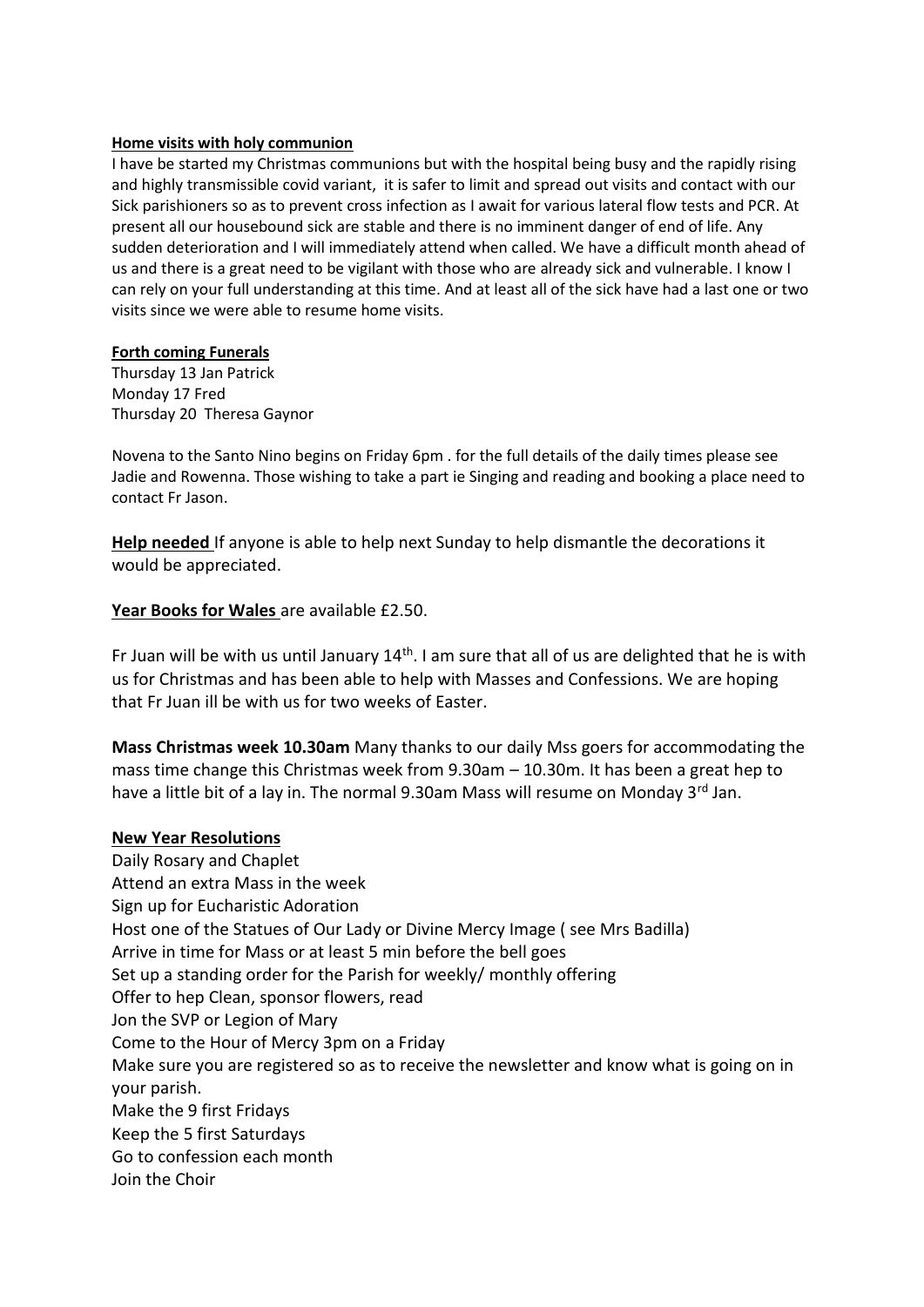#### **Home visits with holy communion**

I have be started my Christmas communions but with the hospital being busy and the rapidly rising and highly transmissible covid variant, it is safer to limit and spread out visits and contact with our Sick parishioners so as to prevent cross infection as I await for various lateral flow tests and PCR. At present all our housebound sick are stable and there is no imminent danger of end of life. Any sudden deterioration and I will immediately attend when called. We have a difficult month ahead of us and there is a great need to be vigilant with those who are already sick and vulnerable. I know I can rely on your full understanding at this time. And at least all of the sick have had a last one or two visits since we were able to resume home visits.

#### **Forth coming Funerals**

Thursday 13 Jan Patrick Monday 17 Fred Thursday 20 Theresa Gaynor

Novena to the Santo Nino begins on Friday 6pm . for the full details of the daily times please see Jadie and Rowenna. Those wishing to take a part ie Singing and reading and booking a place need to contact Fr Jason.

**Help needed** If anyone is able to help next Sunday to help dismantle the decorations it would be appreciated.

### **Year Books for Wales** are available £2.50.

Fr Juan will be with us until January 14<sup>th</sup>. I am sure that all of us are delighted that he is with us for Christmas and has been able to help with Masses and Confessions. We are hoping that Fr Juan ill be with us for two weeks of Easter.

**Mass Christmas week 10.30am** Many thanks to our daily Mss goers for accommodating the mass time change this Christmas week from 9.30am – 10.30m. It has been a great hep to have a little bit of a lay in. The normal 9.30am Mass will resume on Monday 3<sup>rd</sup> Jan.

### **New Year Resolutions**

Daily Rosary and Chaplet Attend an extra Mass in the week Sign up for Eucharistic Adoration Host one of the Statues of Our Lady or Divine Mercy Image ( see Mrs Badilla) Arrive in time for Mass or at least 5 min before the bell goes Set up a standing order for the Parish for weekly/ monthly offering Offer to hep Clean, sponsor flowers, read Jon the SVP or Legion of Mary Come to the Hour of Mercy 3pm on a Friday Make sure you are registered so as to receive the newsletter and know what is going on in your parish. Make the 9 first Fridays Keep the 5 first Saturdays Go to confession each month Join the Choir